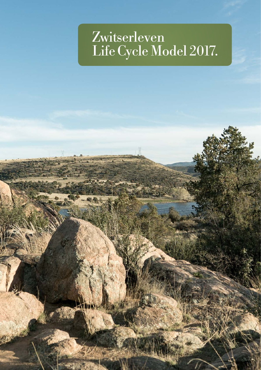# Zwitserleven LifeCycle Model 2017.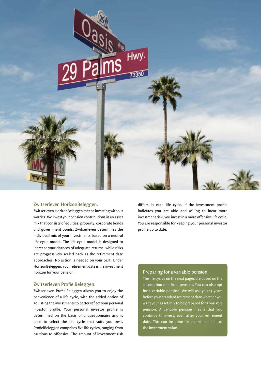

### Zwitserleven HorizonBeleggen.

Zwitserleven HorizonBeleggen means investing without worries. We invest your pension contributions in an asset mix that consists of equities, property, corporate bonds and government bonds. Zwitserleven determines the individual mix of your investments based on a neutral life cycle model. The life cycle model is designed to increase your chances of adequate returns, while risks are progressively scaled back as the retirement date approaches. No action is needed on your part. Under HorizonBeleggen, your retirement date is the investment horizon for your pension.

#### Zwitserleven ProfielBeleggen.

Zwitserleven ProfielBeleggen allows you to enjoy the convenience of a life cycle, with the added option of adjusting the investments to better reflect your personal investor profile. Your personal investor profile is determined on the basis of a questionnaire and is used to select the life cycle that suits you best. ProfielBeleggen comprises five life cycles, ranging from cautious to offensive. The amount of investment risk

differs in each life cycle. If the investment profile indicates you are able and willing to incur more investment risk, you invest in a more offensive life cycle. You are responsible for keeping your personal investor profile up to date.

#### Preparing for a variable pension.

The life cycles on the next pages are based on the assumption of a fixed pension. You can also opt for a variable pension. We will ask you 15 years before your standard retirement date whether you want your asset mix to be prepared for a variable pension. A variable pension means that you continue to invest, even after your retirement date. This can be done for a portion or all of the investment value.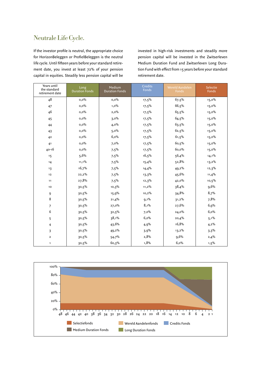### Neutrale Life Cycle.

If the investor profile is neutral, the appropriate choice for HorizonBeleggen or ProfielBeleggen is the neutral life cycle. Until fifteen years before your standard retirement date, you invest at least 72% of your pension capital in equities. Steadily less pension capital will be

| Years until<br>the standard<br>retirement date | Long<br><b>Duration Fonds</b> | Medium<br><b>Duration Fonds</b> | <b>Credits</b><br><b>Fonds</b> | Wereld Aandelen<br>Fonds | Selectie<br>Fonds |
|------------------------------------------------|-------------------------------|---------------------------------|--------------------------------|--------------------------|-------------------|
| 48                                             | 0,0%                          | $0,0\%$                         | $17,5\%$                       | 67,5%                    | $15,0\%$          |
| 47                                             | 0,0%                          | 1,0%                            | $17,5\%$                       | 66,5%                    | $15,0\%$          |
| 46                                             | 0,0%                          | $2,0\%$                         | $17,5\%$                       | 65,5%                    | $15,0\%$          |
| 45                                             | $0,0\%$                       | 3,0%                            | 17,5%                          | 64,5%                    | $15,0\%$          |
| 44                                             | $0,0\%$                       | $4,0\%$                         | $17,5\%$                       | 63,5%                    | $15,0\%$          |
| 43                                             | 0,0%                          | 5,0%                            | $17,5\%$                       | 62,5%                    | $15,0\%$          |
| 42                                             | $0,0\%$                       | 6,0%                            | $17,5\%$                       | 61,5%                    | $15,0\%$          |
| 41                                             | $0,0\%$                       | 7,0%                            | $17,5\%$                       | 60,5%                    | $15,0\%$          |
| $40 - 16$                                      | $0,0\%$                       | 7,5%                            | $17,5\%$                       | 60,0%                    | $15,0\%$          |
| 15                                             | 5,6%                          | 7,5%                            | 16,5%                          | 56,4%                    | $14,1\%$          |
| 14                                             | 11,1%                         | 7,5%                            | 15,4%                          | 52,8%                    | $13,2\%$          |
| 13                                             | 16,7%                         | 7,5%                            | 14,4%                          | 49,2%                    | 12,3%             |
| 12                                             | 22,2%                         | 7,5%                            | $13,3\%$                       | 45,6%                    | 11,4%             |
| 11                                             | 27,8%                         | 7,5%                            | 12,3%                          | 42,0%                    | 10,5%             |
| 10                                             | 30,5%                         | 10,3%                           | $11,2\%$                       | 38,4%                    | 9,6%              |
| 9                                              | $30,5\%$                      | 15,9%                           | 10,2%                          | 34,8%                    | 8,7%              |
| 8                                              | $30,5\%$                      | 21,4%                           | $9,1\%$                        | 31,2%                    | 7,8%              |
| 7                                              | 30,5%                         | 27,0%                           | 8,1%                           | 27,6%                    | 6,9%              |
| 6                                              | 30,5%                         | 32,5%                           | 7,0%                           | 24,0%                    | 6,0%              |
| 5                                              | 30,5%                         | 38,1%                           | 6,0%                           | 20,4%                    | $5,1\%$           |
| 4                                              | 30,5%                         | 43,6%                           | 4,9%                           | 16,8%                    | 4,2%              |
| 3                                              | 30,5%                         | 49,2%                           | 3,9%                           | $13,2\%$                 | 3,3%              |
| $\overline{\mathbf{2}}$                        | 30,5%                         | 54,7%                           | 2,8%                           | 9,6%                     | 2,4%              |
| 1                                              | 30,5%                         | 60,3%                           | 1,8%                           | 6,0%                     | $1,5\%$           |

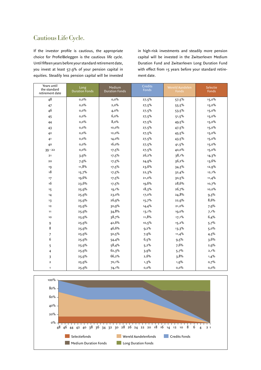### Cautious Life Cycle.

If the investor profile is cautious, the appropriate choice for ProfielBeleggen is the cautious life cycle. Until fifteen years before your standard retirement date, you invest at least 57.9% of your pension capital in equities. Steadily less pension capital will be invested

| Years until<br>the standard<br>retirement date | Long<br><b>Duration Fonds</b> | Medium<br><b>Duration Fonds</b> | <b>Credits</b><br>Fonds | Wereld Aandelen<br>Fonds | Selectie<br>Fonds |
|------------------------------------------------|-------------------------------|---------------------------------|-------------------------|--------------------------|-------------------|
| 48                                             | 0,0%                          | $0,0\%$                         | 27,5%                   | 57,5%                    | $15,0\%$          |
| 47                                             | 0,0%                          | 2,0%                            | $27,5\%$                | $55,5\%$                 | $15,0\%$          |
| 46                                             | 0,0%                          | 4,0%                            | 27,5%                   | 53,5%                    | 15,0%             |
| 45                                             | 0,0%                          | 6,0%                            | 27,5%                   | 51,5%                    | $15,0\%$          |
| 44                                             | $0,0\%$                       | 8,0%                            | 27,5%                   | 49.5%                    | $15,0\%$          |
| 43                                             | 0,0%                          | $10,0\%$                        | 27,5%                   | 47,5%                    | $15,0\%$          |
| 42                                             | $0,0\%$                       | 12,0%                           | 27,5%                   | 45.5%                    | $15,0\%$          |
| 41                                             | 0,0%                          | $14,0\%$                        | $27,5\%$                | 43.5%                    | $15,0\%$          |
| 40                                             | $0,0\%$                       | 16,0%                           | $27,5\%$                | $41,5\%$                 | $15,0\%$          |
| $39 - 22$                                      | $0,0\%$                       | $17,5\%$                        | $27,5\%$                | 40,0%                    | $15,0\%$          |
| 21                                             | 3,9%                          | $17,5\%$                        | 26,2%                   | 38,1%                    | 14,3%             |
| 20                                             | 7,9%                          | $17,5\%$                        | 24,9%                   | 36,2%                    | $13,6\%$          |
| 19                                             | 11,8%                         | $17,5\%$                        | 23,6%                   | 34,3%                    | 12,9%             |
| 18                                             | 15,7%                         | $17,5\%$                        | 22,3%                   | 32,4%                    | $12,1\%$          |
| 17                                             | 19,6%                         | $17,5\%$                        | 21,0%                   | 30,5%                    | 11,4%             |
| 16                                             | 23,6%                         | $17,5\%$                        | 19,6%                   | 28,6%                    | 10,7%             |
| 15                                             | 25,9%                         | $19,1\%$                        | 18,3%                   | 26,7%                    | $10,0\%$          |
| 14                                             | 25,9%                         | 23,0%                           | $17,0\%$                | 24,8%                    | 9,3%              |
| 13                                             | 25,9%                         | 26,9%                           | 15,7%                   | 22,9%                    | 8,6%              |
| 12                                             | 25,9%                         | 30,9%                           | 14,4%                   | 21,0%                    | 7,9%              |
| 11                                             | 25,9%                         | 34,8%                           | $13,1\%$                | 19,0%                    | 7,1%              |
| 10                                             | 25,9%                         | 38,7%                           | 11,8%                   | $17,1\%$                 | 6,4%              |
| 9                                              | 25,9%                         | 42,6%                           | 10,5%                   | 15,2%                    | 5.7%              |
| 8                                              | 25,9%                         | 46,6%                           | 9,2%                    | 13,3%                    | 5,0%              |
| 7                                              | 25,9%                         | 50,5%                           | 7,9%                    | 11,4%                    | 4,3%              |
| 6                                              | 25,9%                         | 54,4%                           | 6,5%                    | $9,5\%$                  | 3,6%              |
| 5                                              | 25,9%                         | 58,4%                           | 5,2%                    | 7,6%                     | 2,9%              |
| 4                                              | 25,9%                         | 62,3%                           | 3,9%                    | 5,7%                     | 2,1%              |
| 3                                              | 25,9%                         | 66,2%                           | 2,6%                    | 3,8%                     | 1,4%              |
| $\mathbf 2$                                    | 25,9%                         | 70,1%                           | 1,3%                    | 1,9%                     | 0,7%              |
| 1                                              | 25,9%                         | $74,1\%$                        | $0,0\%$                 | $0,\!0\%$                | $0,\!0\%$         |

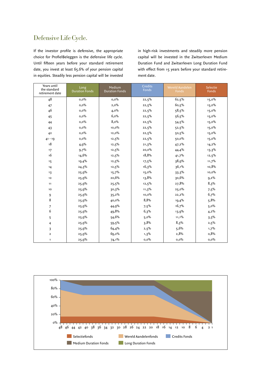### Defensive Life Cycle.

If the investor profile is defensive, the appropriate choice for ProfielBeleggen is the defensive life cycle. Until fifteen years before your standard retirement date, you invest at least 65.6% of your pension capital in equities. Steadily less pension capital will be invested

| Years until<br>the standard<br>retirement date | Long<br><b>Duration Fonds</b> | Medium<br><b>Duration Fonds</b> | <b>Credits</b><br>Fonds | Wereld Aandelen<br>Fonds | Selectie<br>Fonds |
|------------------------------------------------|-------------------------------|---------------------------------|-------------------------|--------------------------|-------------------|
| 48                                             | $0,0\%$                       | 0,0%                            | 22,5%                   | 62,5%                    | $15,0\%$          |
| 47                                             | $0,0\%$                       | 2,0%                            | 22,5%                   | 60,5%                    | $15,0\%$          |
| 46                                             | $0,0\%$                       | $4,0\%$                         | 22,5%                   | 58,5%                    | $15,0\%$          |
| 45                                             | 0,0%                          | 6,0%                            | 22,5%                   | 56,5%                    | $15,0\%$          |
| 44                                             | $0,0\%$                       | 8,0%                            | 22,5%                   | 54.5%                    | $15,0\%$          |
| 43                                             | $0,0\%$                       | $10,0\%$                        | 22,5%                   | 52,5%                    | $15,0\%$          |
| 4 <sup>2</sup>                                 | 0,0%                          | 12,0%                           | 22,5%                   | 50,5%                    | $15,0\%$          |
| $41 - 19$                                      | $0,0\%$                       | $12,5\%$                        | 22,5%                   | 50,0%                    | $15,0\%$          |
| 18                                             | 4,9%                          | 12,5%                           | 21,3%                   | 47,2%                    | 14,2%             |
| 17                                             | 9,7%                          | 12,5%                           | 20,0%                   | 44,4%                    | 13,3%             |
| 16                                             | 14,6%                         | 12,5%                           | 18,8%                   | 41,7%                    | $12,5\%$          |
| 15                                             | 19,4%                         | 12,5%                           | $17,5\%$                | 38,9%                    | 11,7%             |
| 14                                             | 24,3%                         | $12,5\%$                        | 16,3%                   | 36,1%                    | 10,8%             |
| 13                                             | 25,9%                         | 15,7%                           | $15,0\%$                | 33,3%                    | 10,0%             |
| $12$                                           | 25,9%                         | 20,6%                           | 13,8%                   | 30,6%                    | $9,2\%$           |
| 11                                             | 25,9%                         | $25,5\%$                        | 12,5%                   | 27,8%                    | 8,3%              |
| 10                                             | 25,9%                         | 30,3%                           | 11,3%                   | 25,0%                    | 7,5%              |
| 9                                              | 25,9%                         | 35,2%                           | $10,0\%$                | 22,2%                    | 6,7%              |
| 8                                              | 25,9%                         | $40,0\%$                        | 8,8%                    | 19,4%                    | 5,8%              |
| 7                                              | 25,9%                         | 44,9%                           | $7,5\%$                 | 16,7%                    | 5,0%              |
| 6                                              | 25,9%                         | 49,8%                           | 6,3%                    | 13,9%                    | 4,2%              |
| 5                                              | 25,9%                         | 54,6%                           | 5,0%                    | 11,1%                    | 3,3%              |
| 4                                              | 25,9%                         | $59.5\%$                        | 3,8%                    | 8,3%                     | $2,5\%$           |
| 3                                              | 25,9%                         | 64,4%                           | $2,5\%$                 | 5,6%                     | 1,7%              |
| $\overline{\mathbf{2}}$                        | 25,9%                         | 69,2%                           | 1,3%                    | 2,8%                     | 0,8%              |
| $\mathbf{1}$                                   | 25,9%                         | $74,1\%$                        | $0,0\%$                 | $0,0\%$                  | $0,0\%$           |

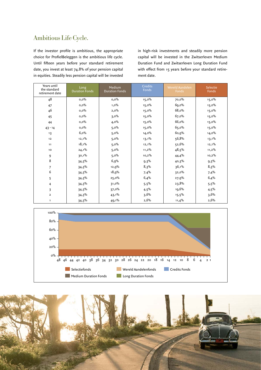### Ambitious Life Cycle.

If the investor profile is ambitious, the appropriate choice for ProfielBeleggen is the ambitious life cycle. Until fifteen years before your standard retirement date, you invest at least 74.8% of your pension capital in equities. Steadily less pension capital will be invested

| Years until<br>the standard<br>retirement date | Long<br><b>Duration Fonds</b> | Medium<br><b>Duration Fonds</b> | Credits<br>Fonds | Wereld Aandelen<br>Fonds | Selectie<br>Fonds |
|------------------------------------------------|-------------------------------|---------------------------------|------------------|--------------------------|-------------------|
| 48                                             | $0,0\%$                       | $0,0\%$                         | $15,0\%$         | 70,0%                    | $15,0\%$          |
| 47                                             | $0,0\%$                       | $1,0\%$                         | $15,0\%$         | 69,0%                    | $15,0\%$          |
| 46                                             | $0,0\%$                       | 2,0%                            | $15,0\%$         | 68,0%                    | $15,0\%$          |
| 45                                             | $0,0\%$                       | $3,0\%$                         | $15,0\%$         | 67,0%                    | $15,0\%$          |
| 44                                             | 0,0%                          | $4,0\%$                         | $15,0\%$         | 66,0%                    | $15,0\%$          |
| $43 - 14$                                      | 0,0%                          | $5,0\%$                         | $15,0\%$         | 65,0%                    | $15,0\%$          |
| 13                                             | 6,0%                          | 5,0%                            | $14,0\%$         | 60,9%                    | $14,0\%$          |
| $12$                                           | $12,1\%$                      | $5,0\%$                         | $13,1\%$         | 56,8%                    | $13,1\%$          |
| 11                                             | 18,1%                         | 5,0%                            | $12,1\%$         | 52,6%                    | $12,1\%$          |
| 10                                             | $24,1\%$                      | $5,0\%$                         | $11,2\%$         | 48,5%                    | $11,2\%$          |
| 9                                              | 30,1%                         | 5,0%                            | $10,2\%$         | 44,4%                    | $10,2\%$          |
| 8                                              | 34,3%                         | 6,9%                            | $9,3\%$          | 40,3%                    | $9,3\%$           |
| 7                                              | 34,3%                         | 12,9%                           | 8,3%             | 36,1%                    | 8,3%              |
| 6                                              | 34,3%                         | 18,9%                           | 7,4%             | 32,0%                    | 7,4%              |
| 5                                              | 34,3%                         | 25,0%                           | 6,4%             | 27,9%                    | 6,4%              |
| 4                                              | 34,3%                         | $31,0\%$                        | 5,5%             | 23,8%                    | 5,5%              |
| 3                                              | 34,3%                         | 37,0%                           | $4,5\%$          | 19,6%                    | $4,5\%$           |
| $\overline{2}$                                 | 34.3%                         | $43,1\%$                        | 3,6%             | $15,5\%$                 | 3,6%              |
| 1                                              | 34,3%                         | $49,1\%$                        | 2,6%             | 11,4%                    | 2,6%              |



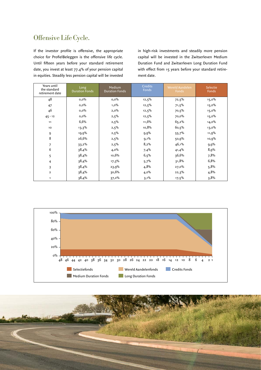### Offensive Life Cycle.

If the investor profile is offensive, the appropriate choice for ProfielBeleggen is the offensive life cycle. Until fifteen years before your standard retirement date, you invest at least 77.4% of your pension capital in equities. Steadily less pension capital will be invested

| Years until<br>the standard<br>retirement date | Long<br><b>Duration Fonds</b> | Medium<br><b>Duration Fonds</b> | <b>Credits</b><br>Fonds | <b>Wereld Aandelen</b><br>Fonds | Selectie<br>Fonds |
|------------------------------------------------|-------------------------------|---------------------------------|-------------------------|---------------------------------|-------------------|
| 48                                             | $0,0\%$                       | $0,0\%$                         | 12,5%                   | 72,5%                           | $15,0\%$          |
| 47                                             | $0,0\%$                       | $1,0\%$                         | $12,5\%$                | $71,5\%$                        | $15,0\%$          |
| 46                                             | $0,0\%$                       | 2,0%                            | $12,5\%$                | 70,5%                           | $15,0\%$          |
| $45 - 12$                                      | $0,0\%$                       | 2,5%                            | 12,5%                   | 70,0%                           | 15,0%             |
| 11                                             | 6,6%                          | $2,5\%$                         | 11,6%                   | 65,2%                           | $14,0\%$          |
| 10                                             | 13,3%                         | $2,5\%$                         | 10,8%                   | 60,5%                           | $13,0\%$          |
| 9                                              | $19,9\%$                      | $2,5\%$                         | 9,9%                    | 55,7%                           | 11,9%             |
| 8                                              | 26,6%                         | $2,5\%$                         | $9,1\%$                 | 50,9%                           | 10,9%             |
| 7                                              | $33,2\%$                      | $2,5\%$                         | 8,2%                    | 46,1%                           | 9,9%              |
| 6                                              | 38,4%                         | $4,0\%$                         | 7,4%                    | 41,4%                           | 8,9%              |
| 5                                              | 38,4%                         | 10,6%                           | 6,5%                    | 36,6%                           | 7,8%              |
| 4                                              | 38,4%                         | 17,3%                           | 5,7%                    | 31,8%                           | 6,8%              |
| 3                                              | 38,4%                         | 23,9%                           | 4,8%                    | 27,0%                           | 5,8%              |
| $\overline{\mathbf{2}}$                        | 38,4%                         | 30,6%                           | $4,0\%$                 | 22,3%                           | 4,8%              |
| 1                                              | 38,4%                         | $37,2\%$                        | $3,1\%$                 | $17,5\%$                        | 3,8%              |